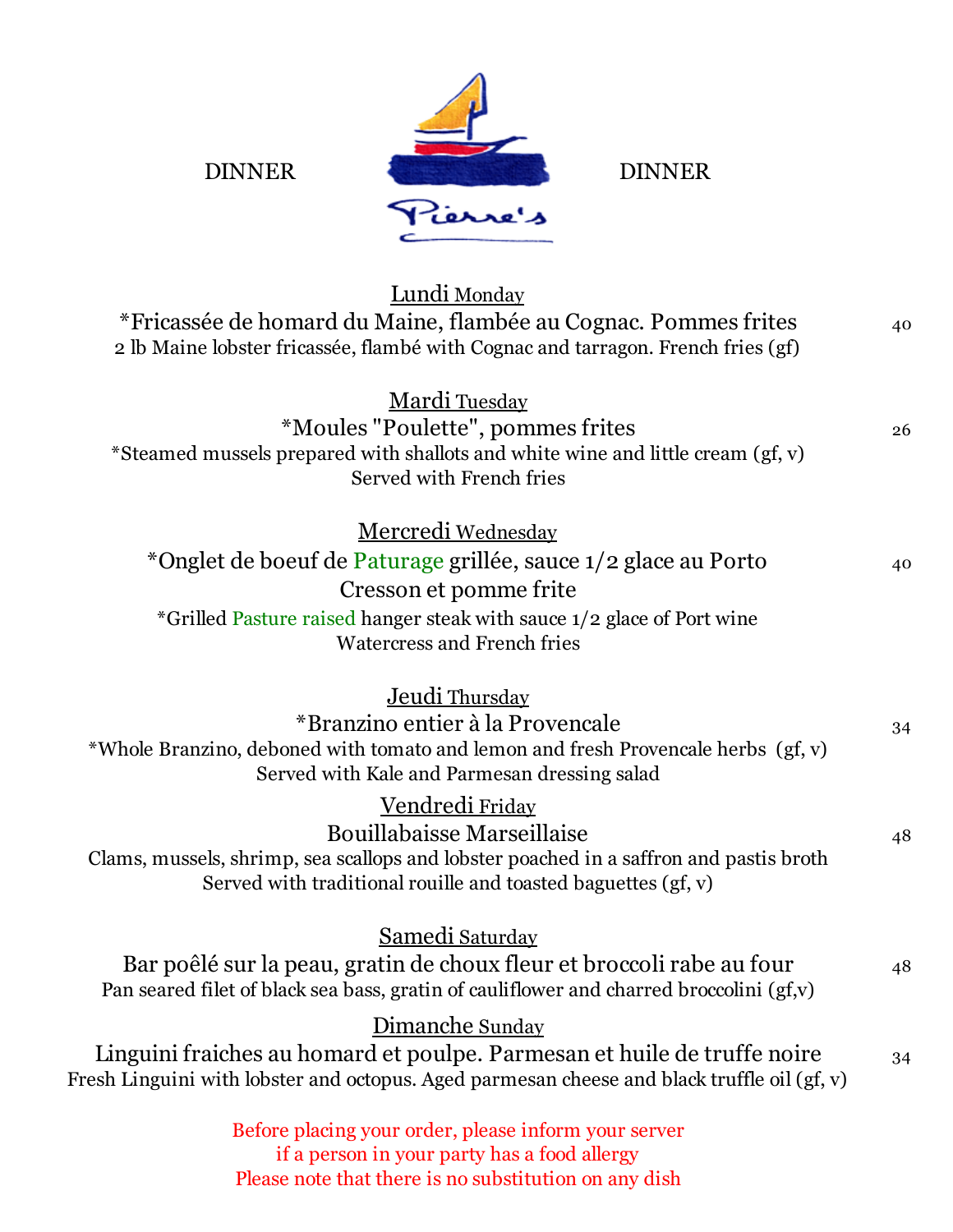

| Lundi Monday<br>*Fricassée de homard du Maine, flambée au Cognac. Pommes frites<br>2 lb Maine lobster fricassée, flambé with Cognac and tarragon. French fries (gf)                                                                   | 40 |
|---------------------------------------------------------------------------------------------------------------------------------------------------------------------------------------------------------------------------------------|----|
| <b>Mardi Tuesday</b><br>*Moules "Poulette", pommes frites<br>*Steamed mussels prepared with shallots and white wine and little cream (gf, v)<br>Served with French fries                                                              | 26 |
| <u>Mercredi Wednesday</u><br>*Onglet de boeuf de Paturage grillée, sauce 1/2 glace au Porto<br>Cresson et pomme frite<br>*Grilled Pasture raised hanger steak with sauce 1/2 glace of Port wine<br><b>Watercress and French fries</b> | 40 |
| <u>Jeudi Thursday</u><br>*Branzino entier à la Provencale<br>*Whole Branzino, deboned with tomato and lemon and fresh Provencale herbs (gf, v)<br>Served with Kale and Parmesan dressing salad                                        | 34 |
| <u>Vendredi Friday</u><br><b>Bouillabaisse Marseillaise</b><br>Clams, mussels, shrimp, sea scallops and lobster poached in a saffron and pastis broth<br>Served with traditional rouille and toasted baguettes (gf, v)                | 48 |
| Samedi Saturday<br>Bar poêlé sur la peau, gratin de choux fleur et broccoli rabe au four<br>Pan seared filet of black sea bass, gratin of cauliflower and charred broccolini (gf,v)                                                   | 48 |
| Dimanche Sunday<br>Linguini fraiches au homard et poulpe. Parmesan et huile de truffe noire<br>Fresh Linguini with lobster and octopus. Aged parmesan cheese and black truffle oil (gf, v)                                            | 34 |
| Before placing your order, please inform your server<br>if a person in your party has a food allergy                                                                                                                                  |    |

Please note that there is no substitution on any dish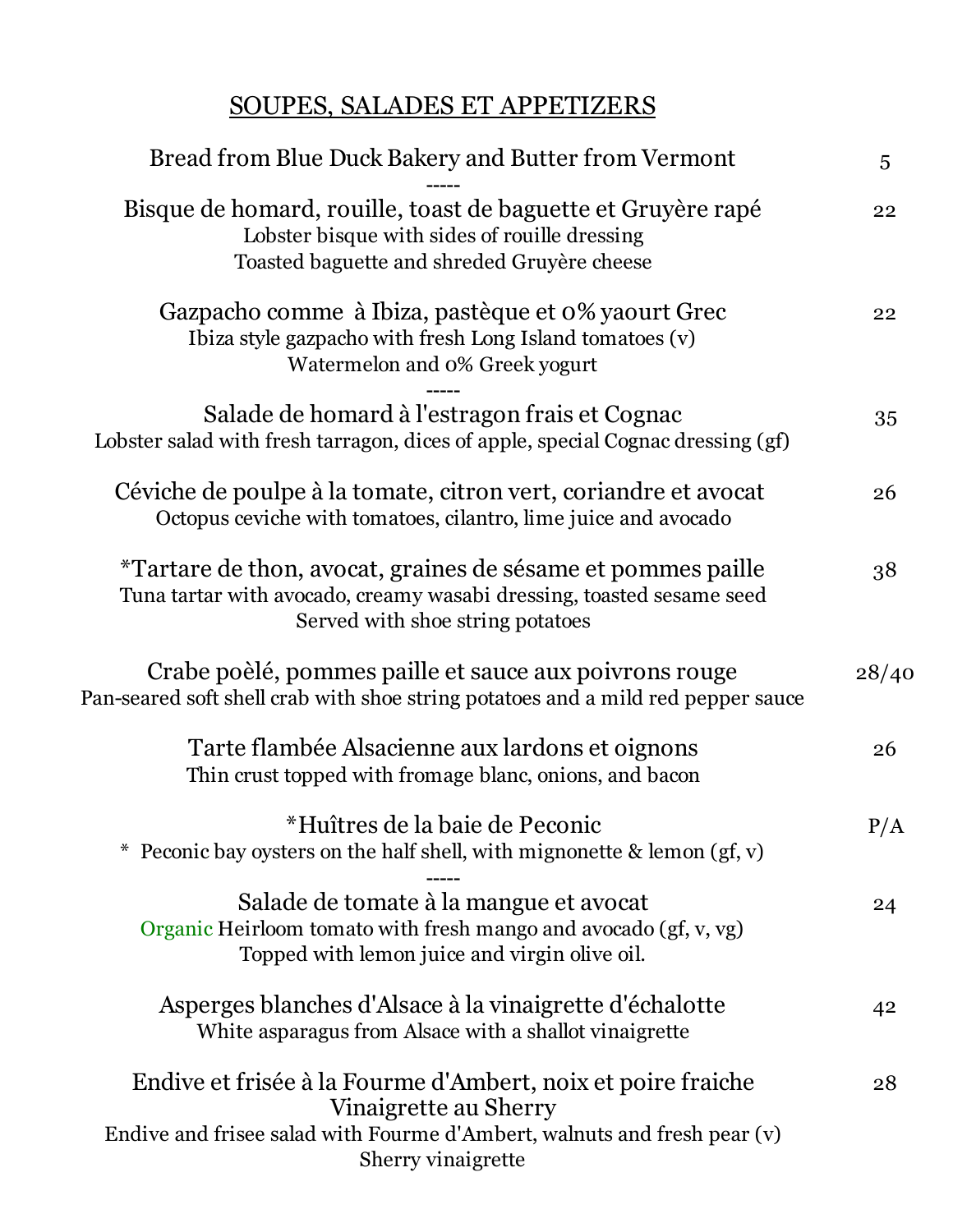## SOUPES, SALADES ET APPETIZERS

| Bread from Blue Duck Bakery and Butter from Vermont                                                                                                                                     | 5     |
|-----------------------------------------------------------------------------------------------------------------------------------------------------------------------------------------|-------|
| Bisque de homard, rouille, toast de baguette et Gruyère rapé<br>Lobster bisque with sides of rouille dressing<br>Toasted baguette and shreded Gruyère cheese                            | 22    |
| Gazpacho comme à Ibiza, pastèque et 0% yaourt Grec<br>Ibiza style gazpacho with fresh Long Island tomatoes (v)<br>Watermelon and 0% Greek yogurt                                        | 22    |
| Salade de homard à l'estragon frais et Cognac<br>Lobster salad with fresh tarragon, dices of apple, special Cognac dressing (gf)                                                        | 35    |
| Céviche de poulpe à la tomate, citron vert, coriandre et avocat<br>Octopus ceviche with tomatoes, cilantro, lime juice and avocado                                                      | 26    |
| *Tartare de thon, avocat, graines de sésame et pommes paille<br>Tuna tartar with avocado, creamy wasabi dressing, toasted sesame seed<br>Served with shoe string potatoes               | 38    |
| Crabe poèlé, pommes paille et sauce aux poivrons rouge<br>Pan-seared soft shell crab with shoe string potatoes and a mild red pepper sauce                                              | 28/40 |
| Tarte flambée Alsacienne aux lardons et oignons<br>Thin crust topped with fromage blanc, onions, and bacon                                                                              | 26    |
| *Huîtres de la baie de Peconic<br>Peconic bay oysters on the half shell, with mignonette $\&$ lemon (gf, v)                                                                             | P/A   |
| Salade de tomate à la mangue et avocat<br>Organic Heirloom tomato with fresh mango and avocado (gf, v, vg)<br>Topped with lemon juice and virgin olive oil.                             | 24    |
| Asperges blanches d'Alsace à la vinaigrette d'échalotte<br>White asparagus from Alsace with a shallot vinaigrette                                                                       | 42    |
| Endive et frisée à la Fourme d'Ambert, noix et poire fraiche<br>Vinaigrette au Sherry<br>Endive and frisee salad with Fourme d'Ambert, walnuts and fresh pear (v)<br>Sherry vinaigrette | 28    |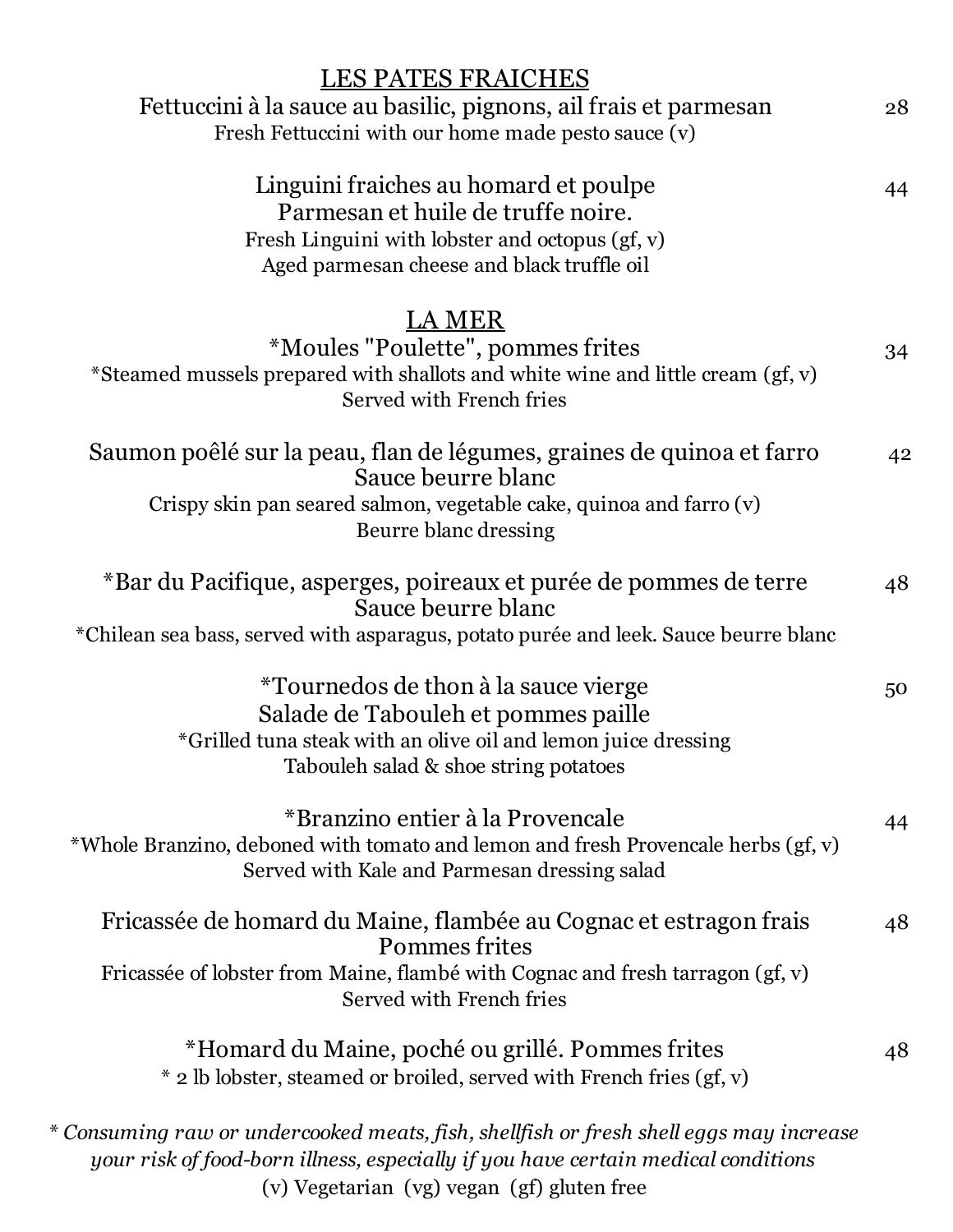| <b>LES PATES FRAICHES</b>                                                                                                                                                              |    |
|----------------------------------------------------------------------------------------------------------------------------------------------------------------------------------------|----|
| Fettuccini à la sauce au basilic, pignons, ail frais et parmesan                                                                                                                       | 28 |
| Fresh Fettuccini with our home made pesto sauce (v)                                                                                                                                    |    |
| Linguini fraiches au homard et poulpe<br>Parmesan et huile de truffe noire.<br>Fresh Linguini with lobster and octopus (gf, v)<br>Aged parmesan cheese and black truffle oil           | 44 |
| LA MER                                                                                                                                                                                 |    |
| *Moules "Poulette", pommes frites                                                                                                                                                      | 34 |
| *Steamed mussels prepared with shallots and white wine and little cream (gf, v)<br>Served with French fries                                                                            |    |
| Saumon poêlé sur la peau, flan de légumes, graines de quinoa et farro<br>Sauce beurre blanc                                                                                            | 42 |
| Crispy skin pan seared salmon, vegetable cake, quinoa and farro (v)<br>Beurre blanc dressing                                                                                           |    |
| *Bar du Pacifique, asperges, poireaux et purée de pommes de terre<br>Sauce beurre blanc                                                                                                | 48 |
| *Chilean sea bass, served with asparagus, potato purée and leek. Sauce beurre blanc                                                                                                    |    |
| *Tournedos de thon à la sauce vierge<br>Salade de Tabouleh et pommes paille<br>*Grilled tuna steak with an olive oil and lemon juice dressing<br>Tabouleh salad & shoe string potatoes | 50 |
| *Branzino entier à la Provencale<br>*Whole Branzino, deboned with tomato and lemon and fresh Provencale herbs (gf, v)<br>Served with Kale and Parmesan dressing salad                  | 44 |
| Fricassée de homard du Maine, flambée au Cognac et estragon frais<br>Pommes frites                                                                                                     | 48 |
| Fricassée of lobster from Maine, flambé with Cognac and fresh tarragon (gf, v)<br>Served with French fries                                                                             |    |
| *Homard du Maine, poché ou grillé. Pommes frites<br>* 2 lb lobster, steamed or broiled, served with French fries (gf, v)                                                               | 48 |
| * Consuming raw or undercooked meats, fish, shellfish or fresh shell eggs may increase<br>your risk of food-born illness, especially if you have certain medical conditions            |    |

(v) Vegetarian (vg) vegan (gf) gluten free